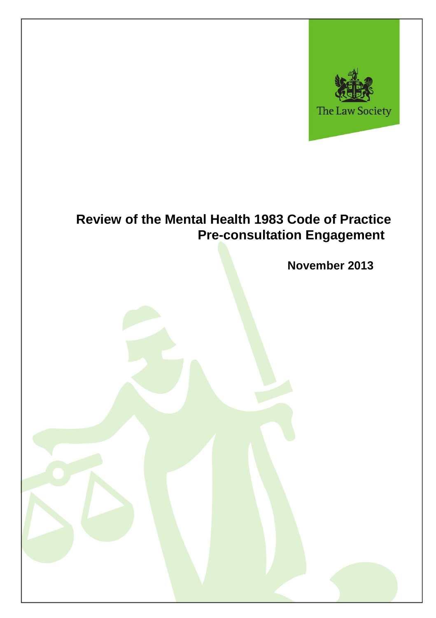

# **Review of the Mental Health 1983 Code of Practice Pre-consultation Engagement**

**November 2013**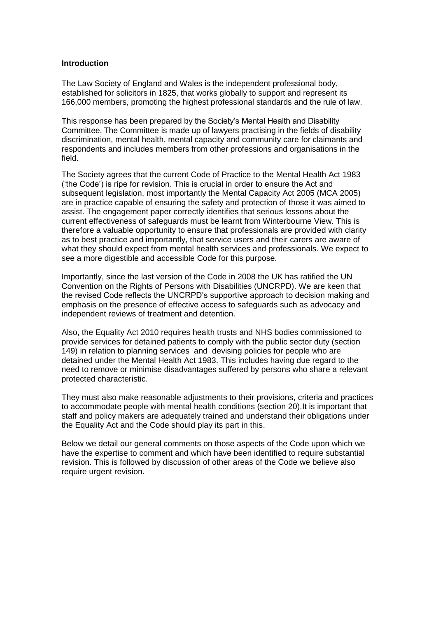#### **Introduction**

The Law Society of England and Wales is the independent professional body, established for solicitors in 1825, that works globally to support and represent its 166,000 members, promoting the highest professional standards and the rule of law.

This response has been prepared by the Society's Mental Health and Disability Committee. The Committee is made up of lawyers practising in the fields of disability discrimination, mental health, mental capacity and community care for claimants and respondents and includes members from other professions and organisations in the field.

The Society agrees that the current Code of Practice to the Mental Health Act 1983 ('the Code') is ripe for revision. This is crucial in order to ensure the Act and subsequent legislation, most importantly the Mental Capacity Act 2005 (MCA 2005) are in practice capable of ensuring the safety and protection of those it was aimed to assist. The engagement paper correctly identifies that serious lessons about the current effectiveness of safeguards must be learnt from Winterbourne View. This is therefore a valuable opportunity to ensure that professionals are provided with clarity as to best practice and importantly, that service users and their carers are aware of what they should expect from mental health services and professionals. We expect to see a more digestible and accessible Code for this purpose.

Importantly, since the last version of the Code in 2008 the UK has ratified the UN Convention on the Rights of Persons with Disabilities (UNCRPD). We are keen that the revised Code reflects the UNCRPD's supportive approach to decision making and emphasis on the presence of effective access to safeguards such as advocacy and independent reviews of treatment and detention.

Also, the Equality Act 2010 requires health trusts and NHS bodies commissioned to provide services for detained patients to comply with the public sector duty (section 149) in relation to planning services and devising policies for people who are detained under the Mental Health Act 1983. This includes having due regard to the need to remove or minimise disadvantages suffered by persons who share a relevant protected characteristic.

They must also make reasonable adjustments to their provisions, criteria and practices to accommodate people with mental health conditions (section 20).It is important that staff and policy makers are adequately trained and understand their obligations under the Equality Act and the Code should play its part in this.

Below we detail our general comments on those aspects of the Code upon which we have the expertise to comment and which have been identified to require substantial revision. This is followed by discussion of other areas of the Code we believe also require urgent revision.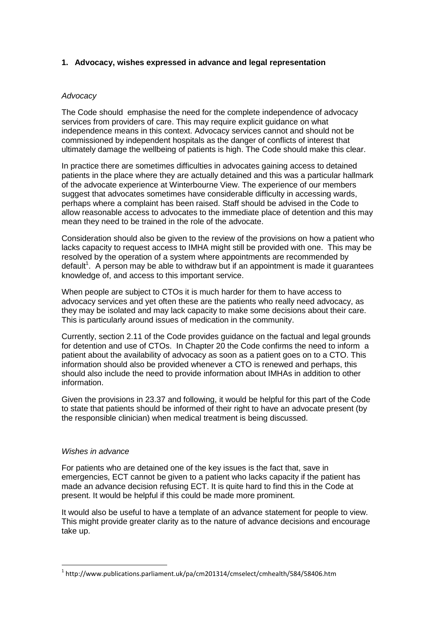## **1. Advocacy, wishes expressed in advance and legal representation**

## *Advocacy*

The Code should emphasise the need for the complete independence of advocacy services from providers of care. This may require explicit guidance on what independence means in this context. Advocacy services cannot and should not be commissioned by independent hospitals as the danger of conflicts of interest that ultimately damage the wellbeing of patients is high. The Code should make this clear.

In practice there are sometimes difficulties in advocates gaining access to detained patients in the place where they are actually detained and this was a particular hallmark of the advocate experience at Winterbourne View. The experience of our members suggest that advocates sometimes have considerable difficulty in accessing wards, perhaps where a complaint has been raised. Staff should be advised in the Code to allow reasonable access to advocates to the immediate place of detention and this may mean they need to be trained in the role of the advocate.

Consideration should also be given to the review of the provisions on how a patient who lacks capacity to request access to IMHA might still be provided with one. This may be resolved by the operation of a system where appointments are recommended by default<sup>1</sup>. A person may be able to withdraw but if an appointment is made it guarantees knowledge of, and access to this important service.

When people are subject to CTOs it is much harder for them to have access to advocacy services and yet often these are the patients who really need advocacy, as they may be isolated and may lack capacity to make some decisions about their care. This is particularly around issues of medication in the community.

Currently, section 2.11 of the Code provides guidance on the factual and legal grounds for detention and use of CTOs. In Chapter 20 the Code confirms the need to inform a patient about the availability of advocacy as soon as a patient goes on to a CTO. This information should also be provided whenever a CTO is renewed and perhaps, this should also include the need to provide information about IMHAs in addition to other information.

Given the provisions in 23.37 and following, it would be helpful for this part of the Code to state that patients should be informed of their right to have an advocate present (by the responsible clinician) when medical treatment is being discussed.

#### *Wishes in advance*

 $\overline{\phantom{a}}$ 

For patients who are detained one of the key issues is the fact that, save in emergencies, ECT cannot be given to a patient who lacks capacity if the patient has made an advance decision refusing ECT. It is quite hard to find this in the Code at present. It would be helpful if this could be made more prominent.

It would also be useful to have a template of an advance statement for people to view. This might provide greater clarity as to the nature of advance decisions and encourage take up.

 $^{1}$  http://www.publications.parliament.uk/pa/cm201314/cmselect/cmhealth/584/58406.htm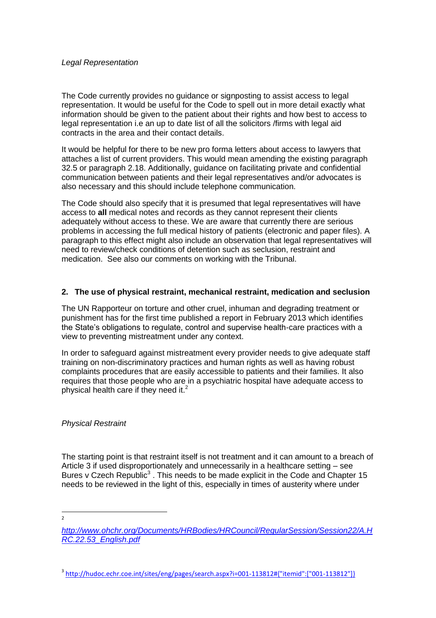#### *Legal Representation*

The Code currently provides no guidance or signposting to assist access to legal representation. It would be useful for the Code to spell out in more detail exactly what information should be given to the patient about their rights and how best to access to legal representation i.e an up to date list of all the solicitors /firms with legal aid contracts in the area and their contact details.

It would be helpful for there to be new pro forma letters about access to lawyers that attaches a list of current providers. This would mean amending the existing paragraph 32.5 or paragraph 2.18. Additionally, guidance on facilitating private and confidential communication between patients and their legal representatives and/or advocates is also necessary and this should include telephone communication.

The Code should also specify that it is presumed that legal representatives will have access to **all** medical notes and records as they cannot represent their clients adequately without access to these. We are aware that currently there are serious problems in accessing the full medical history of patients (electronic and paper files). A paragraph to this effect might also include an observation that legal representatives will need to review/check conditions of detention such as seclusion, restraint and medication. See also our comments on working with the Tribunal.

# **2. The use of physical restraint, mechanical restraint, medication and seclusion**

The UN Rapporteur on torture and other cruel, inhuman and degrading treatment or punishment has for the first time published a report in February 2013 which identifies the State's obligations to regulate, control and supervise health-care practices with a view to preventing mistreatment under any context.

In order to safeguard against mistreatment every provider needs to give adequate staff training on non-discriminatory practices and human rights as well as having robust complaints procedures that are easily accessible to patients and their families. It also requires that those people who are in a psychiatric hospital have adequate access to physical health care if they need it. $<sup>2</sup>$ </sup>

## *Physical Restraint*

The starting point is that restraint itself is not treatment and it can amount to a breach of Article 3 if used disproportionately and unnecessarily in a healthcare setting – see Bures v Czech Republic<sup>3</sup>. This needs to be made explicit in the Code and Chapter 15 needs to be reviewed in the light of this, especially in times of austerity where under

 $\overline{2}$ 

*[http://www.ohchr.org/Documents/HRBodies/HRCouncil/RegularSession/Session22/A.H](http://www.ohchr.org/Documents/HRBodies/HRCouncil/RegularSession/Session22/A.HRC.22.53_English.pdf) [RC.22.53\\_English.pdf](http://www.ohchr.org/Documents/HRBodies/HRCouncil/RegularSession/Session22/A.HRC.22.53_English.pdf)*

<sup>3</sup> [http://hudoc.echr.coe.int/sites/eng/pages/search.aspx?i=001-113812#{"itemid":\["001-113812"\]}](http://hudoc.echr.coe.int/sites/eng/pages/search.aspx?i=001-113812%23%7b%22itemid%22:%5b%22001-113812%22%5d%7d)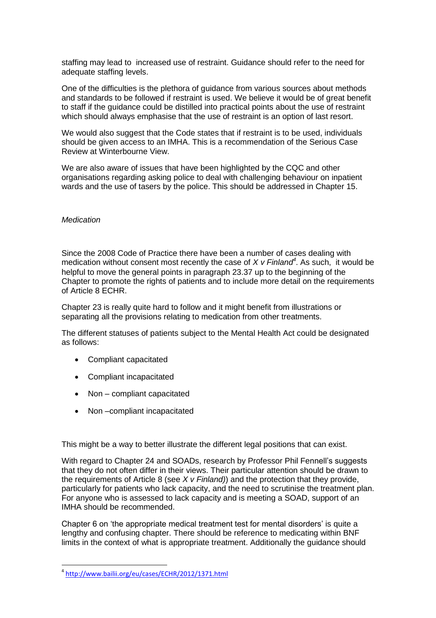staffing may lead to increased use of restraint. Guidance should refer to the need for adequate staffing levels.

One of the difficulties is the plethora of guidance from various sources about methods and standards to be followed if restraint is used. We believe it would be of great benefit to staff if the guidance could be distilled into practical points about the use of restraint which should always emphasise that the use of restraint is an option of last resort.

We would also suggest that the Code states that if restraint is to be used, individuals should be given access to an IMHA. This is a recommendation of the Serious Case Review at Winterbourne View.

We are also aware of issues that have been highlighted by the CQC and other organisations regarding asking police to deal with challenging behaviour on inpatient wards and the use of tasers by the police. This should be addressed in Chapter 15.

#### *Medication*

Since the 2008 Code of Practice there have been a number of cases dealing with medication without consent most recently the case of [X v Finland](http://hudoc.echr.coe.int/sites/eng/pages/search.aspx#{%22appno%22:[%2234806/04%22],%22itemid%22:[%22001-111938%22]})<sup>4</sup>. As such, it would be helpful to move the general points in paragraph 23.37 up to the beginning of the Chapter to promote the rights of patients and to include more detail on the requirements of Article 8 ECHR.

Chapter 23 is really quite hard to follow and it might benefit from illustrations or separating all the provisions relating to medication from other treatments.

The different statuses of patients subject to the Mental Health Act could be designated as follows:

- Compliant capacitated
- Compliant incapacitated
- Non compliant capacitated
- Non-compliant incapacitated

This might be a way to better illustrate the different legal positions that can exist.

With regard to Chapter 24 and SOADs, research by Professor Phil Fennell's suggests that they do not often differ in their views. Their particular attention should be drawn to the requirements of Article 8 (see *X v Finland)*) and the protection that they provide, particularly for patients who lack capacity, and the need to scrutinise the treatment plan. For anyone who is assessed to lack capacity and is meeting a SOAD, support of an IMHA should be recommended.

Chapter 6 on 'the appropriate medical treatment test for mental disorders' is quite a lengthy and confusing chapter. There should be reference to medicating within BNF limits in the context of what is appropriate treatment. Additionally the guidance should

<sup>4</sup> <http://www.bailii.org/eu/cases/ECHR/2012/1371.html>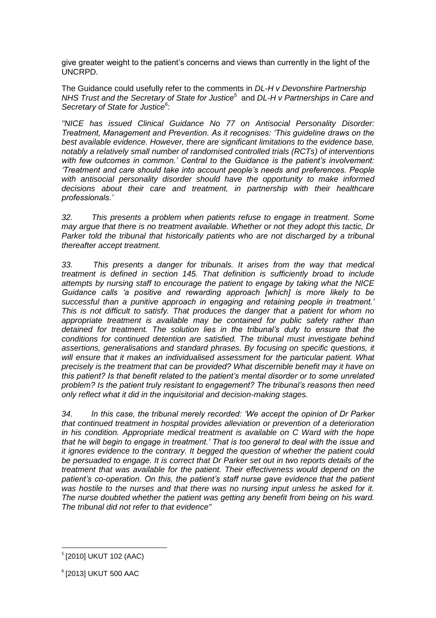give greater weight to the patient's concerns and views than currently in the light of the UNCRPD.

The Guidance could usefully refer to the comments in *DL-H v Devonshire Partnership NHS Trust and the Secretary of State for Justice<sup>5</sup>* and *DL-H v Partnerships in Care and Secretary of State for Justice<sup>6</sup>* :

*"NICE has issued Clinical Guidance No 77 on Antisocial Personality Disorder: Treatment, Management and Prevention. As it recognises: 'This guideline draws on the best available evidence. However, there are significant limitations to the evidence base, notably a relatively small number of randomised controlled trials (RCTs) of interventions with few outcomes in common.' Central to the Guidance is the patient's involvement: 'Treatment and care should take into account people's needs and preferences. People*  with antisocial personality disorder should have the opportunity to make informed *decisions about their care and treatment, in partnership with their healthcare professionals.'*

*32. This presents a problem when patients refuse to engage in treatment. Some may argue that there is no treatment available. Whether or not they adopt this tactic, Dr Parker told the tribunal that historically patients who are not discharged by a tribunal thereafter accept treatment.* 

*33. This presents a danger for tribunals. It arises from the way that medical treatment is defined in section 145. That definition is sufficiently broad to include attempts by nursing staff to encourage the patient to engage by taking what the NICE Guidance calls 'a positive and rewarding approach [which] is more likely to be successful than a punitive approach in engaging and retaining people in treatment.' This is not difficult to satisfy. That produces the danger that a patient for whom no appropriate treatment is available may be contained for public safety rather than detained for treatment. The solution lies in the tribunal's duty to ensure that the conditions for continued detention are satisfied. The tribunal must investigate behind assertions, generalisations and standard phrases. By focusing on specific questions, it will ensure that it makes an individualised assessment for the particular patient. What precisely is the treatment that can be provided? What discernible benefit may it have on this patient? Is that benefit related to the patient's mental disorder or to some unrelated problem? Is the patient truly resistant to engagement? The tribunal's reasons then need only reflect what it did in the inquisitorial and decision-making stages.* 

*34. In this case, the tribunal merely recorded: 'We accept the opinion of Dr Parker that continued treatment in hospital provides alleviation or prevention of a deterioration in his condition. Appropriate medical treatment is available on C Ward with the hope that he will begin to engage in treatment.' That is too general to deal with the issue and it ignores evidence to the contrary. It begged the question of whether the patient could be persuaded to engage. It is correct that Dr Parker set out in two reports details of the treatment that was available for the patient. Their effectiveness would depend on the patient's co-operation. On this, the patient's staff nurse gave evidence that the patient*  was hostile to the nurses and that there was no nursing input unless he asked for it. *The nurse doubted whether the patient was getting any benefit from being on his ward. The tribunal did not refer to that evidence"*

l

<sup>&</sup>lt;sup>5</sup> [2010] UKUT 102 (AAC)

<sup>6</sup> [2013] UKUT 500 AAC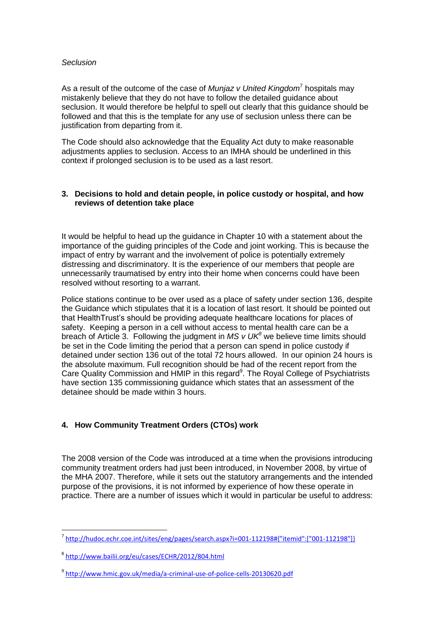#### *Seclusion*

As a result of the outcome of the case of *Munjaz v United Kingdom*<sup>7</sup> hospitals may mistakenly believe that they do not have to follow the detailed guidance about seclusion. It would therefore be helpful to spell out clearly that this guidance should be followed and that this is the template for any use of seclusion unless there can be justification from departing from it.

The Code should also acknowledge that the Equality Act duty to make reasonable adjustments applies to seclusion. Access to an IMHA should be underlined in this context if prolonged seclusion is to be used as a last resort.

#### **3. Decisions to hold and detain people, in police custody or hospital, and how reviews of detention take place**

It would be helpful to head up the guidance in Chapter 10 with a statement about the importance of the guiding principles of the Code and joint working. This is because the impact of entry by warrant and the involvement of police is potentially extremely distressing and discriminatory. It is the experience of our members that people are unnecessarily traumatised by entry into their home when concerns could have been resolved without resorting to a warrant.

Police stations continue to be over used as a place of safety under section 136, despite the Guidance which stipulates that it is a location of last resort. It should be pointed out that HealthTrust's should be providing adequate healthcare locations for places of safety. Keeping a person in a cell without access to mental health care can be a breach of Article 3. Following the judgment in *MS v UK<sup>8</sup>* we believe time limits should be set in the Code limiting the period that a person can spend in police custody if detained under section 136 out of the total 72 hours allowed. In our opinion 24 hours is the absolute maximum. Full recognition should be had of the recent report from the Care Quality Commission and HMIP in this regard<sup>9</sup>. The Royal College of Psychiatrists have section 135 commissioning guidance which states that an assessment of the detainee should be made within 3 hours.

## **4. How Community Treatment Orders (CTOs) work**

The 2008 version of the Code was introduced at a time when the provisions introducing community treatment orders had just been introduced, in November 2008, by virtue of the MHA 2007. Therefore, while it sets out the statutory arrangements and the intended purpose of the provisions, it is not informed by experience of how these operate in practice. There are a number of issues which it would in particular be useful to address:

<sup>7</sup> [http://hudoc.echr.coe.int/sites/eng/pages/search.aspx?i=001-112198#{"itemid":\["001-112198"\]}](http://hudoc.echr.coe.int/sites/eng/pages/search.aspx?i=001-112198%23%7b%22itemid%22:%5b%22001-112198%22%5d%7d%20)

<sup>&</sup>lt;sup>8</sup> <http://www.bailii.org/eu/cases/ECHR/2012/804.html>

<sup>&</sup>lt;sup>9</sup> <http://www.hmic.gov.uk/media/a-criminal-use-of-police-cells-20130620.pdf>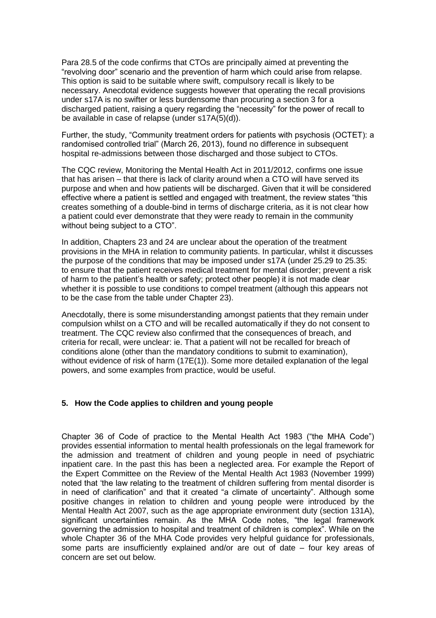Para 28.5 of the code confirms that CTOs are principally aimed at preventing the "revolving door" scenario and the prevention of harm which could arise from relapse. This option is said to be suitable where swift, compulsory recall is likely to be necessary. Anecdotal evidence suggests however that operating the recall provisions under s17A is no swifter or less burdensome than procuring a section 3 for a discharged patient, raising a query regarding the "necessity" for the power of recall to be available in case of relapse (under s17A(5)(d)).

Further, the study, "Community treatment orders for patients with psychosis (OCTET): a randomised controlled trial" (March 26, 2013), found no difference in subsequent hospital re-admissions between those discharged and those subject to CTOs.

The CQC review, Monitoring the Mental Health Act in 2011/2012, confirms one issue that has arisen – that there is lack of clarity around when a CTO will have served its purpose and when and how patients will be discharged. Given that it will be considered effective where a patient is settled and engaged with treatment, the review states "this creates something of a double-bind in terms of discharge criteria, as it is not clear how a patient could ever demonstrate that they were ready to remain in the community without being subject to a CTO".

In addition, Chapters 23 and 24 are unclear about the operation of the treatment provisions in the MHA in relation to community patients. In particular, whilst it discusses the purpose of the conditions that may be imposed under s17A (under 25.29 to 25.35: to ensure that the patient receives medical treatment for mental disorder; prevent a risk of harm to the patient's health or safety; protect other people) it is not made clear whether it is possible to use conditions to compel treatment (although this appears not to be the case from the table under Chapter 23).

Anecdotally, there is some misunderstanding amongst patients that they remain under compulsion whilst on a CTO and will be recalled automatically if they do not consent to treatment. The CQC review also confirmed that the consequences of breach, and criteria for recall, were unclear: ie. That a patient will not be recalled for breach of conditions alone (other than the mandatory conditions to submit to examination), without evidence of risk of harm (17E(1)). Some more detailed explanation of the legal powers, and some examples from practice, would be useful.

#### **5. How the Code applies to children and young people**

Chapter 36 of Code of practice to the Mental Health Act 1983 ("the MHA Code") provides essential information to mental health professionals on the legal framework for the admission and treatment of children and young people in need of psychiatric inpatient care. In the past this has been a neglected area. For example the Report of the Expert Committee on the Review of the Mental Health Act 1983 (November 1999) noted that 'the law relating to the treatment of children suffering from mental disorder is in need of clarification" and that it created "a climate of uncertainty". Although some positive changes in relation to children and young people were introduced by the Mental Health Act 2007, such as the age appropriate environment duty (section 131A), significant uncertainties remain. As the MHA Code notes, "the legal framework governing the admission to hospital and treatment of children is complex". While on the whole Chapter 36 of the MHA Code provides very helpful guidance for professionals, some parts are insufficiently explained and/or are out of date – four key areas of concern are set out below.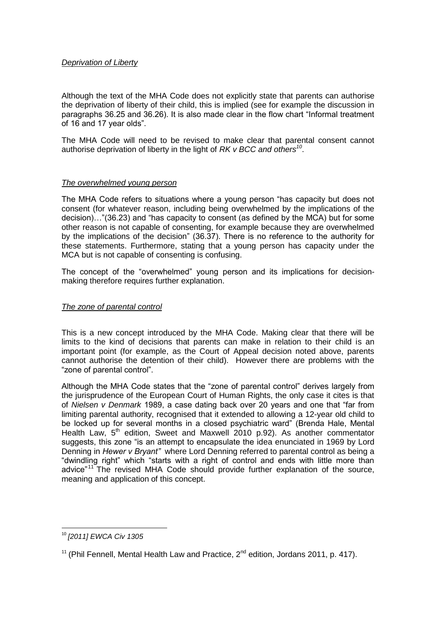## *Deprivation of Liberty*

Although the text of the MHA Code does not explicitly state that parents can authorise the deprivation of liberty of their child, this is implied (see for example the discussion in paragraphs 36.25 and 36.26). It is also made clear in the flow chart "Informal treatment of 16 and 17 year olds".

The MHA Code will need to be revised to make clear that parental consent cannot authorise deprivation of liberty in the light of *RK v BCC and others<sup>10</sup>* .

# *The overwhelmed young person*

The MHA Code refers to situations where a young person "has capacity but does not consent (for whatever reason, including being overwhelmed by the implications of the decision)…"(36.23) and "has capacity to consent (as defined by the MCA) but for some other reason is not capable of consenting, for example because they are overwhelmed by the implications of the decision" (36.37). There is no reference to the authority for these statements. Furthermore, stating that a young person has capacity under the MCA but is not capable of consenting is confusing.

The concept of the "overwhelmed" young person and its implications for decisionmaking therefore requires further explanation.

## *The zone of parental control*

This is a new concept introduced by the MHA Code. Making clear that there will be limits to the kind of decisions that parents can make in relation to their child is an important point (for example, as the Court of Appeal decision noted above, parents cannot authorise the detention of their child). However there are problems with the "zone of parental control".

Although the MHA Code states that the "zone of parental control" derives largely from the jurisprudence of the European Court of Human Rights, the only case it cites is that of *Nielsen v Denmark* 1989, a case dating back over 20 years and one that "far from limiting parental authority, recognised that it extended to allowing a 12-year old child to be locked up for several months in a closed psychiatric ward" (Brenda Hale, Mental Health Law, 5<sup>th</sup> edition, Sweet and Maxwell 2010 p.92). As another commentator suggests, this zone "is an attempt to encapsulate the idea enunciated in 1969 by Lord Denning in *Hewer v Bryant"* where Lord Denning referred to parental control as being a "dwindling right" which "starts with a right of control and ends with little more than advice"<sup>11</sup> The revised MHA Code should provide further explanation of the source, meaning and application of this concept.

 $\overline{\phantom{a}}$ <sup>10</sup> *[2011] EWCA Civ 1305*

 $11$  (Phil Fennell, Mental Health Law and Practice,  $2<sup>nd</sup>$  edition, Jordans 2011, p. 417).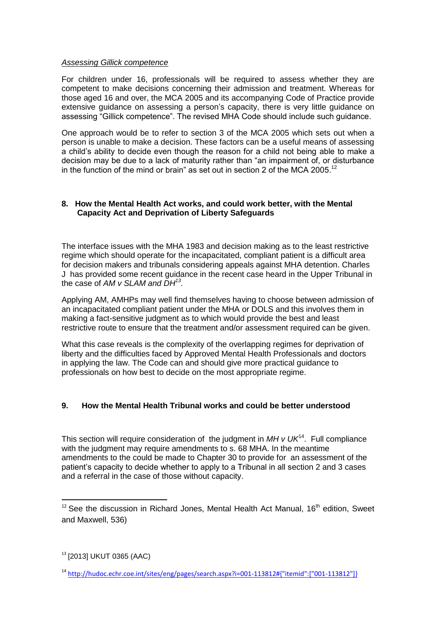#### *Assessing Gillick competence*

For children under 16, professionals will be required to assess whether they are competent to make decisions concerning their admission and treatment. Whereas for those aged 16 and over, the MCA 2005 and its accompanying Code of Practice provide extensive guidance on assessing a person's capacity, there is very little guidance on assessing "Gillick competence". The revised MHA Code should include such guidance.

One approach would be to refer to section 3 of the MCA 2005 which sets out when a person is unable to make a decision. These factors can be a useful means of assessing a child's ability to decide even though the reason for a child not being able to make a decision may be due to a lack of maturity rather than "an impairment of, or disturbance in the function of the mind or brain" as set out in section 2 of the MCA 2005.<sup>12</sup>

#### **8. How the Mental Health Act works, and could work better, with the Mental Capacity Act and Deprivation of Liberty Safeguards**

The interface issues with the MHA 1983 and decision making as to the least restrictive regime which should operate for the incapacitated, compliant patient is a difficult area for decision makers and tribunals considering appeals against MHA detention. Charles J has provided some recent guidance in the recent case heard in the Upper Tribunal in the case of *AM v SLAM and DH<sup>13</sup> .*

Applying AM, AMHPs may well find themselves having to choose between admission of an incapacitated compliant patient under the MHA or DOLS and this involves them in making a fact-sensitive judgment as to which would provide the best and least restrictive route to ensure that the treatment and/or assessment required can be given.

What this case reveals is the complexity of the overlapping regimes for deprivation of liberty and the difficulties faced by Approved Mental Health Professionals and doctors in applying the law. The Code can and should give more practical guidance to professionals on how best to decide on the most appropriate regime.

## **9. How the Mental Health Tribunal works and could be better understood**

This section will require consideration of the judgment in *MH v UK*<sup>14</sup>. Full compliance with the judgment may require amendments to s. 68 MHA. In the meantime amendments to the could be made to Chapter 30 to provide for an assessment of the patient's capacity to decide whether to apply to a Tribunal in all section 2 and 3 cases and a referral in the case of those without capacity.

 $12$  See the discussion in Richard Jones, Mental Health Act Manual, 16<sup>th</sup> edition, Sweet and Maxwell, 536)

<sup>13</sup> [2013] UKUT 0365 (AAC)

<sup>&</sup>lt;sup>14</sup> [http://hudoc.echr.coe.int/sites/eng/pages/search.aspx?i=001-113812#{"itemid":\["001-113812"\]}](http://hudoc.echr.coe.int/sites/eng/pages/search.aspx?i=001-113812%23%7b%22itemid%22:%5b%22001-113812%22%5d%7d%20)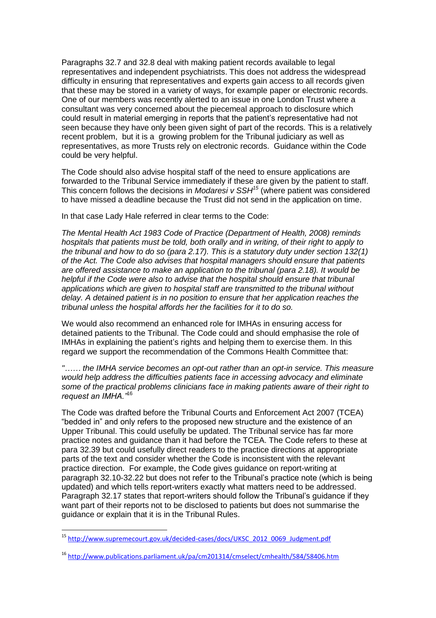Paragraphs 32.7 and 32.8 deal with making patient records available to legal representatives and independent psychiatrists. This does not address the widespread difficulty in ensuring that representatives and experts gain access to all records given that these may be stored in a variety of ways, for example paper or electronic records. One of our members was recently alerted to an issue in one London Trust where a consultant was very concerned about the piecemeal approach to disclosure which could result in material emerging in reports that the patient's representative had not seen because they have only been given sight of part of the records. This is a relatively recent problem, but it is a growing problem for the Tribunal judiciary as well as representatives, as more Trusts rely on electronic records. Guidance within the Code could be very helpful.

The Code should also advise hospital staff of the need to ensure applications are forwarded to the Tribunal Service immediately if these are given by the patient to staff. This concern follows the decisions in *Modaresi v SSH<sup>15</sup>* (where patient was considered to have missed a deadline because the Trust did not send in the application on time.

In that case Lady Hale referred in clear terms to the Code:

*The Mental Health Act 1983 Code of Practice (Department of Health, 2008) reminds hospitals that patients must be told, both orally and in writing, of their right to apply to the tribunal and how to do so (para 2.17). This is a statutory duty under section 132(1) of the Act. The Code also advises that hospital managers should ensure that patients are offered assistance to make an application to the tribunal (para 2.18). It would be helpful if the Code were also to advise that the hospital should ensure that tribunal applications which are given to hospital staff are transmitted to the tribunal without delay. A detained patient is in no position to ensure that her application reaches the tribunal unless the hospital affords her the facilities for it to do so.*

We would also recommend an enhanced role for IMHAs in ensuring access for detained patients to the Tribunal. The Code could and should emphasise the role of IMHAs in explaining the patient's rights and helping them to exercise them. In this regard we support the recommendation of the Commons Health Committee that:

*"…… the IMHA service becomes an opt-out rather than an opt-in service. This measure would help address the difficulties patients face in accessing advocacy and eliminate some of the practical problems clinicians face in making patients aware of their right to request an IMHA."*<sup>16</sup>

The Code was drafted before the Tribunal Courts and Enforcement Act 2007 (TCEA) "bedded in" and only refers to the proposed new structure and the existence of an Upper Tribunal. This could usefully be updated. The Tribunal service has far more practice notes and guidance than it had before the TCEA. The Code refers to these at para 32.39 but could usefully direct readers to the practice directions at appropriate parts of the text and consider whether the Code is inconsistent with the relevant practice direction. For example, the Code gives guidance on report-writing at paragraph 32.10-32.22 but does not refer to the Tribunal's practice note (which is being updated) and which tells report-writers exactly what matters need to be addressed. Paragraph 32.17 states that report-writers should follow the Tribunal's guidance if they want part of their reports not to be disclosed to patients but does not summarise the guidance or explain that it is in the Tribunal Rules.

<sup>&</sup>lt;sup>15</sup> [http://www.supremecourt.gov.uk/decided-cases/docs/UKSC\\_2012\\_0069\\_Judgment.pdf](http://www.supremecourt.gov.uk/decided-cases/docs/UKSC_2012_0069_Judgment.pdf)

<sup>16</sup> <http://www.publications.parliament.uk/pa/cm201314/cmselect/cmhealth/584/58406.htm>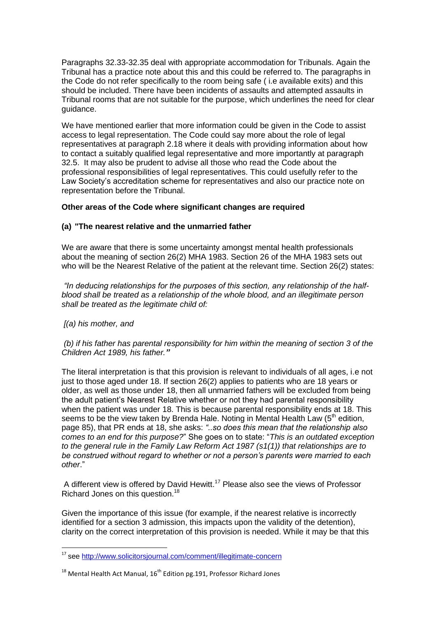Paragraphs 32.33-32.35 deal with appropriate accommodation for Tribunals. Again the Tribunal has a practice note about this and this could be referred to. The paragraphs in the Code do not refer specifically to the room being safe ( i.e available exits) and this should be included. There have been incidents of assaults and attempted assaults in Tribunal rooms that are not suitable for the purpose, which underlines the need for clear guidance.

We have mentioned earlier that more information could be given in the Code to assist access to legal representation. The Code could say more about the role of legal representatives at paragraph 2.18 where it deals with providing information about how to contact a suitably qualified legal representative and more importantly at paragraph 32.5. It may also be prudent to advise all those who read the Code about the professional responsibilities of legal representatives. This could usefully refer to the Law Society's accreditation scheme for representatives and also our practice note on representation before the Tribunal.

## **Other areas of the Code where significant changes are required**

# **(a) "The nearest relative and the unmarried father**

We are aware that there is some uncertainty amongst mental health professionals about the meaning of section 26(2) MHA 1983. Section 26 of the MHA 1983 sets out who will be the Nearest Relative of the patient at the relevant time. Section 26(2) states:

*"In deducing relationships for the purposes of this section, any relationship of the halfblood shall be treated as a relationship of the whole blood, and an illegitimate person shall be treated as the legitimate child of:*

## *[(a) his mother, and*

#### *(b) if his father has parental responsibility for him within the meaning of section 3 of the Children Act 1989, his father."*

The literal interpretation is that this provision is relevant to individuals of all ages, i.e not just to those aged under 18. If section 26(2) applies to patients who are 18 years or older, as well as those under 18, then all unmarried fathers will be excluded from being the adult patient's Nearest Relative whether or not they had parental responsibility when the patient was under 18. This is because parental responsibility ends at 18. This seems to be the view taken by Brenda Hale. Noting in Mental Health Law (5<sup>th</sup> edition, page 85), that PR ends at 18, she asks: *"..so does this mean that the relationship also comes to an end for this purpose?*" She goes on to state: "*This is an outdated exception to the general rule in the Family Law Reform Act 1987 (s1(1)) that relationships are to be construed without regard to whether or not a person's parents were married to each other*."

A different view is offered by David Hewitt.<sup>17</sup> Please also see the views of Professor Richard Jones on this question.<sup>18</sup>

Given the importance of this issue (for example, if the nearest relative is incorrectly identified for a section 3 admission, this impacts upon the validity of the detention), clarity on the correct interpretation of this provision is needed. While it may be that this

 $\overline{a}$ <sup>17</sup> see<http://www.solicitorsjournal.com/comment/illegitimate-concern>

 $18$  Mental Health Act Manual,  $16^{th}$  Edition pg. 191, Professor Richard Jones